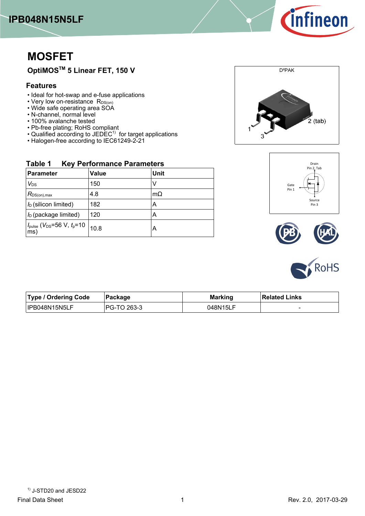



# **MOSFET**

# **OptiMOSTM-5-Linear-FET,-150-V**

## **Features**

**Table-1----**

- Ideal for hot-swap and e-fuse applications
- Very low on-resistance R<sub>DS(on)</sub>
- Wide safe operating area SOA
- N-channel, normal level
- 100% avalanche tested
- Pb-free plating; RoHS compliant
- Qualified according to JEDEC<sup>1)</sup> for target applications

**Parameter Value Unit** 

 $V_{DS}$  150 V  $R_{DS(on),max}$  4.8 mΩ  $I_D$  (silicon-limited)  $\vert$  182  $\vert$  A  $I_{\text{D}}$  (package limited)  $\vert$  120  $\vert$  A

*I*<sub>pulse</sub> (*V*<sub>DS</sub>=56 V, *t*<sub>p</sub>=10 |<br>ms)  $\left| A \right|$ 

**-Key-Performance-Parameters**

• Halogen-free according to IEC61249-2-21

# D²PAK  $2$  (tab)







| <b>Type / Ordering Code</b> | ∣Packaqe    | <b>Marking</b> | <b>Related Links</b> |
|-----------------------------|-------------|----------------|----------------------|
| IPB048N15N5LF               | PG-TO 263-3 | 048N15LF       | -                    |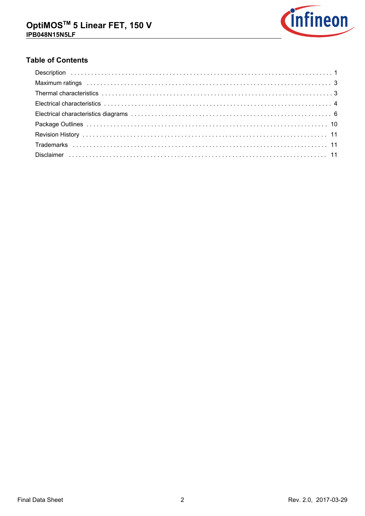

# **Table of Contents**

| Maximum ratings (and all and all and all and all and all and all and all and all and all and all and all and a |  |
|----------------------------------------------------------------------------------------------------------------|--|
|                                                                                                                |  |
|                                                                                                                |  |
|                                                                                                                |  |
|                                                                                                                |  |
|                                                                                                                |  |
|                                                                                                                |  |
|                                                                                                                |  |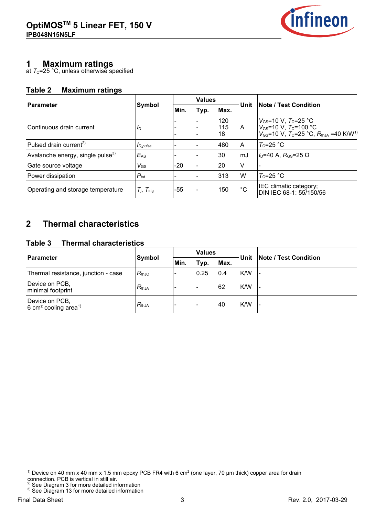

# **1-----Maximum-ratings**

at  $\rm \tau_{c}$ =25 °C, unless otherwise specified

### **Table-2-----Maximum-ratings**

|                                              |                             |       | <b>Values</b>            |      |                                                                                                                                                                                        | <b>Note / Test Condition</b>                      |  |
|----------------------------------------------|-----------------------------|-------|--------------------------|------|----------------------------------------------------------------------------------------------------------------------------------------------------------------------------------------|---------------------------------------------------|--|
| <b>Parameter</b>                             | Symbol                      | Min.  | Typ.                     | Max. | Unit                                                                                                                                                                                   |                                                   |  |
| Continuous drain current<br>$I_{\text{D}}$   |                             |       | 120<br>115<br>18         | IA.  | $V_{\text{GS}}$ =10 V, $T_{\text{C}}$ =25 °C<br>$V_{\text{GS}}$ =10 V, $T_{\text{C}}$ =100 °C<br>$V_{\text{GS}}$ =10 V, $T_{\text{C}}$ =25 °C, $R_{\text{thJA}}$ =40 K/W <sup>1)</sup> |                                                   |  |
| Pulsed drain current <sup>2)</sup>           | $I_{D,pulse}$               |       |                          | 480  | ۱A                                                                                                                                                                                     | $T_c = 25$ °C                                     |  |
| Avalanche energy, single pulse <sup>3)</sup> | $E_{AS}$                    |       |                          | 30   | ∣mJ                                                                                                                                                                                    | $I_D$ =40 A, $R_{GS}$ =25 $\Omega$                |  |
| Gate source voltage                          | $V_{\rm GS}$                | $-20$ |                          | 20   | V                                                                                                                                                                                      |                                                   |  |
| Power dissipation                            | $P_{\text{tot}}$            |       |                          | 313  | W                                                                                                                                                                                      | $T_c = 25 °C$                                     |  |
| Operating and storage temperature            | $T_{\rm j}$ , $T_{\rm stg}$ | -55   | $\overline{\phantom{0}}$ | 150  | $^{\circ}C$                                                                                                                                                                            | IEC climatic category;<br>DIN IEC 68-1: 55/150/56 |  |

## **2--Thermal-characteristics**

#### **Table-3-----Thermal-characteristics**

|                                                                |            | <b>Values</b> |                          |      | Unit |                              |  |
|----------------------------------------------------------------|------------|---------------|--------------------------|------|------|------------------------------|--|
| <b>Parameter</b>                                               | Symbol     | Min.          | Typ.                     | Max. |      | <b>Note / Test Condition</b> |  |
| Thermal resistance, junction - case                            | $R_{thJC}$ |               | 0.25                     | 0.4  | K/W  |                              |  |
| Device on PCB,<br>minimal footprint                            | $R_{thJA}$ |               |                          | 62   | K/W  |                              |  |
| Device on PCB,<br>6 cm <sup>2</sup> cooling area <sup>1)</sup> | $R_{thJA}$ |               | $\overline{\phantom{0}}$ | 40   | K/W  |                              |  |

<sup>1)</sup> Device on 40 mm x 40 mm x 1.5 mm epoxy PCB FR4 with 6 cm<sup>2</sup> (one layer, 70 µm thick) copper area for drain connection. PCB is vertical in still air.

 $2^2$  See Diagram 3 for more detailed information  $3)$  See Diagram 13 for more detailed information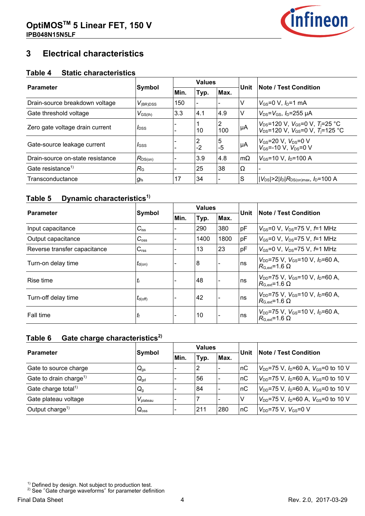

## **3--Electrical-characteristics**

#### **Table-4-----Static-characteristics**

|                                  |                     |      | <b>Values</b>            |           |            |                                                                                               |  |
|----------------------------------|---------------------|------|--------------------------|-----------|------------|-----------------------------------------------------------------------------------------------|--|
| <b>Parameter</b>                 | Symbol              | Min. | Typ.                     | Max.      | Unit       | <b>Note / Test Condition</b>                                                                  |  |
| Drain-source breakdown voltage   | $V_{(BR)DSS}$       | 150  | $\overline{\phantom{a}}$ |           | V          | $V_{\rm GS} = 0 \, V, I_{\rm D} = 1 \, \text{mA}$                                             |  |
| Gate threshold voltage           | $V_{\text{GS(th)}}$ | 3.3  | 4.1                      | 4.9       | v          | $V_{DS} = V_{GS}$ , $I_D = 255 \mu A$                                                         |  |
| Zero gate voltage drain current  | $I_{\text{DSS}}$    |      | 10                       | 2<br>100  | μA         | $V_{DS}$ =120 V, $V_{GS}$ =0 V, $T_j$ =25 °C<br>$V_{DS}$ =120 V, $V_{GS}$ =0 V, $T_j$ =125 °C |  |
| Gate-source leakage current      | $I$ <sub>GSS</sub>  |      | 2<br>$-2$                | 5<br>$-5$ | μA         | $V_{\rm GS}$ =20 V, $V_{\rm DS}$ =0 V<br>$V_{GS}$ =-10 V, $V_{DS}$ =0 V                       |  |
| Drain-source on-state resistance | $R_{DS(on)}$        |      | 3.9                      | 4.8       | $ m\Omega$ | $V_{\text{GS}}$ =10 V, $I_{\text{D}}$ =100 A                                                  |  |
| Gate resistance <sup>1)</sup>    | $R_{\rm G}$         |      | 25                       | 38        | $\Omega$   |                                                                                               |  |
| Transconductance                 | $g_{\text{fs}}$     | 17   | 34                       |           | <b>S</b>   | $ V_{DS}  > 2 I_D R_{DS(on)max}$ , $I_D$ =100 A                                               |  |

## **Table-5-----Dynamic-characteristics1)**

| <b>Parameter</b>             |                     | <b>Values</b> |                  |      |      |                                                                                      |  |
|------------------------------|---------------------|---------------|------------------|------|------|--------------------------------------------------------------------------------------|--|
|                              | Symbol              | Min.          | Typ.             | Max. | Unit | <b>Note / Test Condition</b>                                                         |  |
| Input capacitance            | $C_{iss}$           |               | 290              | 380  | pF   | $V_{\text{GS}} = 0 \text{ V}$ , $V_{\text{DS}} = 75 \text{ V}$ , $f = 1 \text{ MHz}$ |  |
| Output capacitance           | $C_{\rm oss}$       |               | 1400             | 1800 | pF   | $V_{\text{GS}} = 0 \text{ V}$ , $V_{\text{DS}} = 75 \text{ V}$ , $f = 1 \text{ MHz}$ |  |
| Reverse transfer capacitance | $C_{\text{rss}}$    |               | 13               | 23   | pF   | $V_{\rm GS} = 0$ V, $V_{\rm DS} = 75$ V, $f = 1$ MHz                                 |  |
| Turn-on delay time           | $t_{\text{d}(on)}$  |               | $\boldsymbol{8}$ |      | ∣ns  | $V_{DD}$ =75 V, $V_{GS}$ =10 V, $I_D$ =60 A,<br>$R_{\text{G,ext}}$ =1.6 $\Omega$     |  |
| Rise time                    | $t_{\mathsf{r}}$    |               | 48               |      | ns   | $V_{DD}$ =75 V. $V_{GS}$ =10 V. $I_D$ =60 A.<br>$R_{\rm G, ext}$ =1.6 $\Omega$       |  |
| Turn-off delay time          | $t_{d(\text{off})}$ |               | 42               |      | ∣ns  | $V_{DD}$ =75 V, $V_{GS}$ =10 V, $I_D$ =60 A,<br>$R_{\rm G, ext}$ =1.6 $\Omega$       |  |
| Fall time                    | tŧ                  |               | 10               |      | ∣ns  | $V_{DD}$ =75 V, $V_{GS}$ =10 V, $I_D$ =60 A,<br>$R_{\rm G, ext}$ =1.6 $\Omega$       |  |

#### **Table-6-----Gate-charge-characteristics2)**

| <b>Parameter</b>                   | Symbol               | <b>Values</b> |      |                          | Unit | <b>Note / Test Condition</b>                     |
|------------------------------------|----------------------|---------------|------|--------------------------|------|--------------------------------------------------|
|                                    |                      | Min.          | Typ. | Max.                     |      |                                                  |
| Gate to source charge              | $Q_{gs}$             |               | 2    | $\overline{\phantom{a}}$ | nC   | $V_{DD}$ =75 V, $I_D$ =60 A, $V_{GS}$ =0 to 10 V |
| Gate to drain charge <sup>1)</sup> | $Q_{\text{gd}}$      |               | 56   |                          | пC   | $V_{DD}$ =75 V, $I_D$ =60 A, $V_{GS}$ =0 to 10 V |
| Gate charge total <sup>1)</sup>    | $Q_{g}$              |               | 84   |                          | nC   | $V_{DD}$ =75 V, $I_D$ =60 A, $V_{GS}$ =0 to 10 V |
| Gate plateau voltage               | $V_{\text{plateau}}$ |               |      |                          | ΙV   | $V_{DD}$ =75 V, $I_D$ =60 A, $V_{GS}$ =0 to 10 V |
| Output charge <sup>1)</sup>        | $Q_{\rm oss}$        |               | 211  | 280                      | пC   | $V_{DD}$ =75 V, $V_{GS}$ =0 V                    |

 $2)$  See "Gate charge waveforms" for parameter definition

 $1)$  Defined by design. Not subject to production test.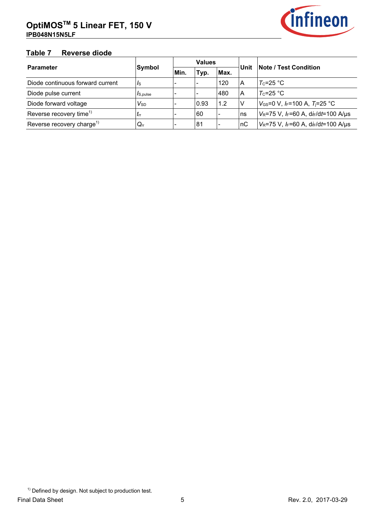

# **Table-7-----Reverse-diode**

| <b>Parameter</b>                      | Symbol               |            | <b>Values</b> |      | Unit | <b>Note / Test Condition</b>                                       |  |
|---------------------------------------|----------------------|------------|---------------|------|------|--------------------------------------------------------------------|--|
|                                       |                      | <b>Min</b> | Typ.          | Max. |      |                                                                    |  |
| Diode continuous forward current      | Is                   |            |               | 120  | ١A   | $T_c = 25 °C$                                                      |  |
| Diode pulse current                   | I <sub>S,pulse</sub> |            |               | 480  | A    | $T_c = 25 °C$                                                      |  |
| Diode forward voltage                 | $V_{SD}$             |            | 0.93          | 1.2  | ΙV   | $V_{\text{GS}}$ =0 V, I <sub>F</sub> =100 A, T <sub>i</sub> =25 °C |  |
| Reverse recovery time <sup>1)</sup>   | $I_{rr}$             |            | 60            |      | ns   | $V_R$ =75 V, $I_F$ =60 A, d $I_F$ /dt=100 A/µs                     |  |
| Reverse recovery charge <sup>1)</sup> | $Q_{rr}$             |            | 81            |      | nC   | $V_R$ =75 V, $I_F$ =60 A, di <sub>F</sub> /dt=100 A/µs             |  |

<sup>&</sup>lt;sup>1)</sup> Defined by design. Not subject to production test.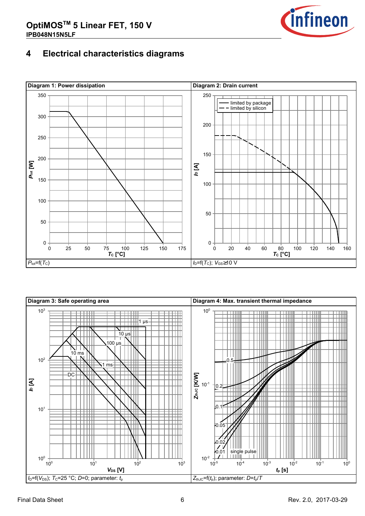

## **4--Electrical-characteristics-diagrams**



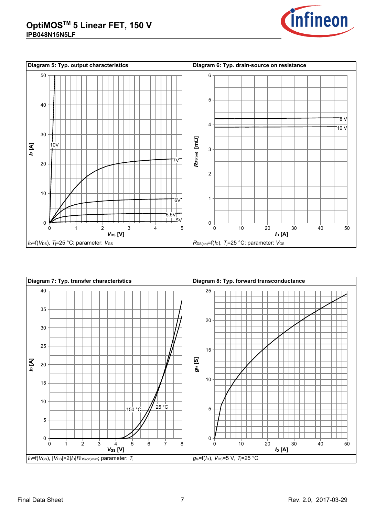



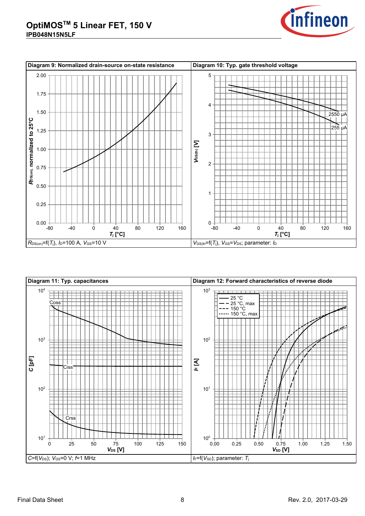



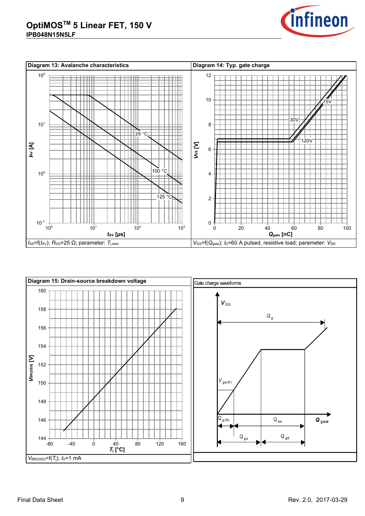



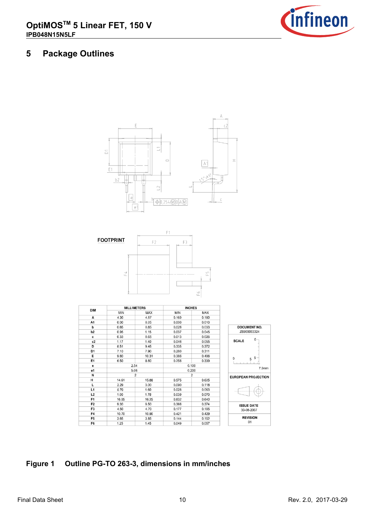

## **5--Package-Outlines**





| <b>DIM</b>     |            | <b>MILLIMETERS</b> |            | <b>INCHES</b>      |                |  |  |  |
|----------------|------------|--------------------|------------|--------------------|----------------|--|--|--|
|                | <b>MIN</b> | <b>MAX</b>         | <b>MIN</b> | MAX                |                |  |  |  |
| А              | 4.30       | 4.57               | 0.169      | 0.180              |                |  |  |  |
| A1             | 0.00       | 0.25               | 0.000      | 0.010              |                |  |  |  |
| b              | 0.65       | 0.85               | 0.026      | 0.033              | <b>DOCUME</b>  |  |  |  |
| b <sub>2</sub> | 0.95       | 1.15               | 0.037      | 0.045              | Z8B0000        |  |  |  |
| C              | 0.33       | 0.65               | 0.013      | 0.026              |                |  |  |  |
| c2             | 1.17       | 1.40               | 0.046      | 0.055              | <b>SCALE</b>   |  |  |  |
| D              | 8.51       | 9.45               | 0.335      | 0.372              |                |  |  |  |
| D1             | 7.10       | 7.90               | 0.280      | 0.311              |                |  |  |  |
| Е              | 9.80       | 10.31              | 0.386      | 0.406              | $\mathbf{0}$   |  |  |  |
| E1             | 6.50       | 8.60               | 0.256      | 0.339              | 5              |  |  |  |
| е              | 2.54       |                    | 0.100      |                    |                |  |  |  |
| e1             | 5.08       |                    | 0.200      |                    |                |  |  |  |
| N              |            | $\overline{2}$     |            | <b>EUROPEAN PF</b> |                |  |  |  |
| н              | 14.61      | 15.88              | 0.575      | 0.625              |                |  |  |  |
| L              | 2.29       | 3.00               | 0.090      | 0.118              |                |  |  |  |
| L1             | 0.70       | 1.60               | 0.028      | 0.063              |                |  |  |  |
| L <sub>2</sub> | 1.00       | 1.78               | 0.039      | 0.070              |                |  |  |  |
| F <sub>1</sub> | 16.05      | 16.25              | 0.632      | 0.640              |                |  |  |  |
| F <sub>2</sub> | 9.30       | 9.50               | 0.366      | 0.374              | <b>ISSUE D</b> |  |  |  |
| F <sub>3</sub> | 4.50       | 4.70               | 0.177      | 0.185              | $30 - 08 - 2$  |  |  |  |
| F4             | 10.70      | 10.90              | 0.421      | 0.429              |                |  |  |  |
| F <sub>5</sub> | 3.65       | 3.85               | 0.144      | 0.152              | <b>REVIS</b>   |  |  |  |
| F6             | 1.25       | 1.45               | 0.049      | 0.057              | 01             |  |  |  |



## **Figure-1-Dutline PG-TO 263-3, dimensions in mm/inches**